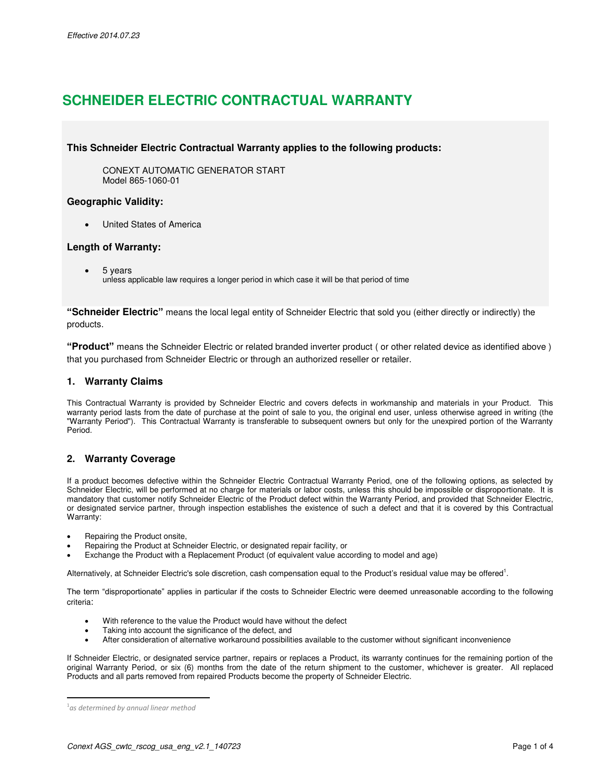# **SCHNEIDER ELECTRIC CONTRACTUAL WARRANTY**

# **This Schneider Electric Contractual Warranty applies to the following products:**

CONEXT AUTOMATIC GENERATOR START Model 865-1060-01

## **Geographic Validity:**

United States of America

## **Length of Warranty:**

5 years

unless applicable law requires a longer period in which case it will be that period of time

**"Schneider Electric"** means the local legal entity of Schneider Electric that sold you (either directly or indirectly) the products.

**"Product"** means the Schneider Electric or related branded inverter product ( or other related device as identified above ) that you purchased from Schneider Electric or through an authorized reseller or retailer.

## **1. Warranty Claims**

This Contractual Warranty is provided by Schneider Electric and covers defects in workmanship and materials in your Product. This warranty period lasts from the date of purchase at the point of sale to you, the original end user, unless otherwise agreed in writing (the "Warranty Period"). This Contractual Warranty is transferable to subsequent owners but only for the unexpired portion of the Warranty Period.

# **2. Warranty Coverage**

If a product becomes defective within the Schneider Electric Contractual Warranty Period, one of the following options, as selected by Schneider Electric, will be performed at no charge for materials or labor costs, unless this should be impossible or disproportionate. It is mandatory that customer notify Schneider Electric of the Product defect within the Warranty Period, and provided that Schneider Electric, or designated service partner, through inspection establishes the existence of such a defect and that it is covered by this Contractual Warranty:

- Repairing the Product onsite,
- Repairing the Product at Schneider Electric, or designated repair facility, or
- Exchange the Product with a Replacement Product (of equivalent value according to model and age)

Alternatively, at Schneider Electric's sole discretion, cash compensation equal to the Product's residual value may be offered<sup>1</sup>.

The term "disproportionate" applies in particular if the costs to Schneider Electric were deemed unreasonable according to the following criteria:

- With reference to the value the Product would have without the defect
- Taking into account the significance of the defect, and
- After consideration of alternative workaround possibilities available to the customer without significant inconvenience

If Schneider Electric, or designated service partner, repairs or replaces a Product, its warranty continues for the remaining portion of the original Warranty Period, or six (6) months from the date of the return shipment to the customer, whichever is greater. All replaced Products and all parts removed from repaired Products become the property of Schneider Electric.

 $\overline{a}$ 

<sup>1</sup> *as determined by annual linear method*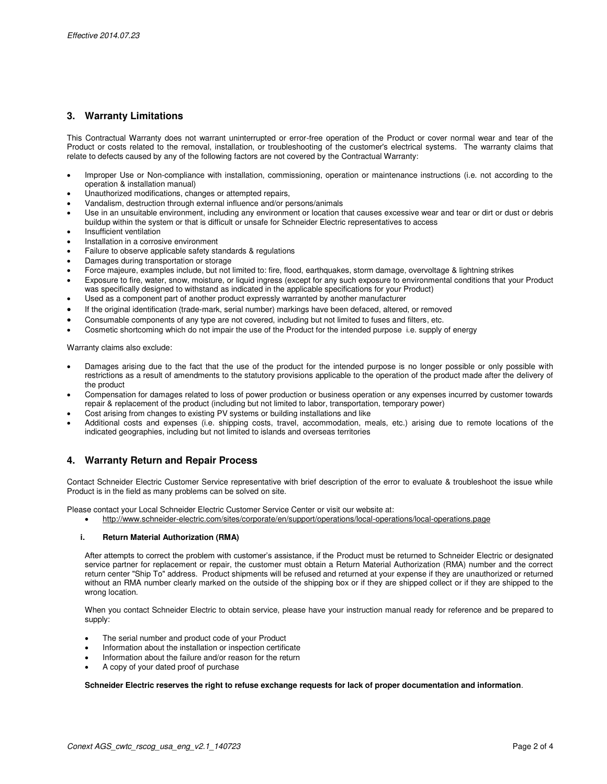# **3. Warranty Limitations**

This Contractual Warranty does not warrant uninterrupted or error-free operation of the Product or cover normal wear and tear of the Product or costs related to the removal, installation, or troubleshooting of the customer's electrical systems. The warranty claims that relate to defects caused by any of the following factors are not covered by the Contractual Warranty:

- Improper Use or Non-compliance with installation, commissioning, operation or maintenance instructions (i.e. not according to the operation & installation manual)
- Unauthorized modifications, changes or attempted repairs,
- Vandalism, destruction through external influence and/or persons/animals
- Use in an unsuitable environment, including any environment or location that causes excessive wear and tear or dirt or dust or debris buildup within the system or that is difficult or unsafe for Schneider Electric representatives to access
- Insufficient ventilation
- Installation in a corrosive environment
- Failure to observe applicable safety standards & regulations
- Damages during transportation or storage
- Force majeure, examples include, but not limited to: fire, flood, earthquakes, storm damage, overvoltage & lightning strikes
- Exposure to fire, water, snow, moisture, or liquid ingress (except for any such exposure to environmental conditions that your Product was specifically designed to withstand as indicated in the applicable specifications for your Product)
- Used as a component part of another product expressly warranted by another manufacturer
- If the original identification (trade-mark, serial number) markings have been defaced, altered, or removed
- Consumable components of any type are not covered, including but not limited to fuses and filters, etc.
- Cosmetic shortcoming which do not impair the use of the Product for the intended purpose i.e. supply of energy

Warranty claims also exclude:

- Damages arising due to the fact that the use of the product for the intended purpose is no longer possible or only possible with restrictions as a result of amendments to the statutory provisions applicable to the operation of the product made after the delivery of the product
- Compensation for damages related to loss of power production or business operation or any expenses incurred by customer towards repair & replacement of the product (including but not limited to labor, transportation, temporary power)
- Cost arising from changes to existing PV systems or building installations and like
- Additional costs and expenses (i.e. shipping costs, travel, accommodation, meals, etc.) arising due to remote locations of the indicated geographies, including but not limited to islands and overseas territories

# **4. Warranty Return and Repair Process**

Contact Schneider Electric Customer Service representative with brief description of the error to evaluate & troubleshoot the issue while Product is in the field as many problems can be solved on site.

Please contact your Local Schneider Electric Customer Service Center or visit our website at:

http://www.schneider-electric.com/sites/corporate/en/support/operations/local-operations/local-operations.page

#### **i. Return Material Authorization (RMA)**

After attempts to correct the problem with customer's assistance, if the Product must be returned to Schneider Electric or designated service partner for replacement or repair, the customer must obtain a Return Material Authorization (RMA) number and the correct return center "Ship To" address. Product shipments will be refused and returned at your expense if they are unauthorized or returned without an RMA number clearly marked on the outside of the shipping box or if they are shipped collect or if they are shipped to the wrong location.

When you contact Schneider Electric to obtain service, please have your instruction manual ready for reference and be prepared to supply:

- The serial number and product code of your Product
- Information about the installation or inspection certificate
- Information about the failure and/or reason for the return
- A copy of your dated proof of purchase

**Schneider Electric reserves the right to refuse exchange requests for lack of proper documentation and information**.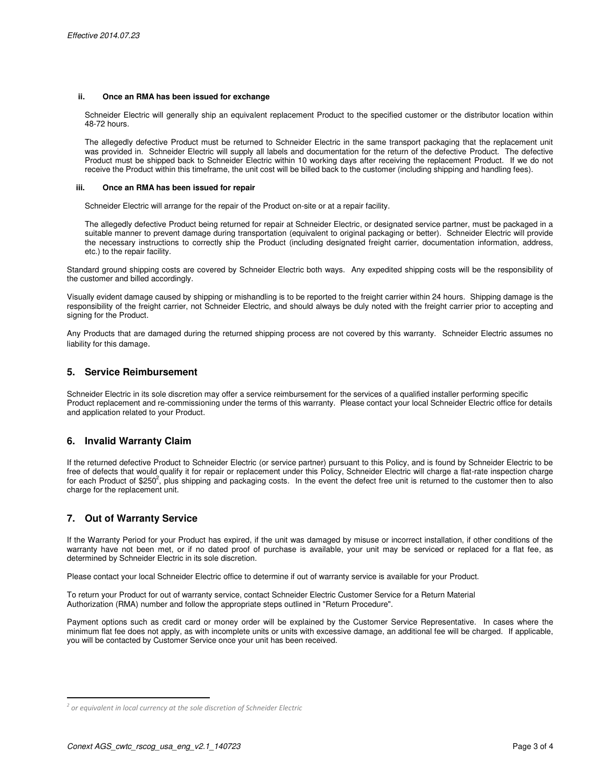#### **ii. Once an RMA has been issued for exchange**

Schneider Electric will generally ship an equivalent replacement Product to the specified customer or the distributor location within 48-72 hours.

The allegedly defective Product must be returned to Schneider Electric in the same transport packaging that the replacement unit was provided in. Schneider Electric will supply all labels and documentation for the return of the defective Product. The defective Product must be shipped back to Schneider Electric within 10 working days after receiving the replacement Product. If we do not receive the Product within this timeframe, the unit cost will be billed back to the customer (including shipping and handling fees).

#### **iii. Once an RMA has been issued for repair**

Schneider Electric will arrange for the repair of the Product on-site or at a repair facility.

The allegedly defective Product being returned for repair at Schneider Electric, or designated service partner, must be packaged in a suitable manner to prevent damage during transportation (equivalent to original packaging or better). Schneider Electric will provide the necessary instructions to correctly ship the Product (including designated freight carrier, documentation information, address, etc.) to the repair facility.

Standard ground shipping costs are covered by Schneider Electric both ways. Any expedited shipping costs will be the responsibility of the customer and billed accordingly.

Visually evident damage caused by shipping or mishandling is to be reported to the freight carrier within 24 hours. Shipping damage is the responsibility of the freight carrier, not Schneider Electric, and should always be duly noted with the freight carrier prior to accepting and signing for the Product.

Any Products that are damaged during the returned shipping process are not covered by this warranty. Schneider Electric assumes no liability for this damage.

### **5. Service Reimbursement**

Schneider Electric in its sole discretion may offer a service reimbursement for the services of a qualified installer performing specific Product replacement and re-commissioning under the terms of this warranty. Please contact your local Schneider Electric office for details and application related to your Product.

# **6. Invalid Warranty Claim**

If the returned defective Product to Schneider Electric (or service partner) pursuant to this Policy, and is found by Schneider Electric to be free of defects that would qualify it for repair or replacement under this Policy, Schneider Electric will charge a flat-rate inspection charge for each Product of \$250<sup>2</sup>, plus shipping and packaging costs. In the event the defect free unit is returned to the customer then to also charge for the replacement unit.

# **7. Out of Warranty Service**

If the Warranty Period for your Product has expired, if the unit was damaged by misuse or incorrect installation, if other conditions of the warranty have not been met, or if no dated proof of purchase is available, your unit may be serviced or replaced for a flat fee, as determined by Schneider Electric in its sole discretion.

Please contact your local Schneider Electric office to determine if out of warranty service is available for your Product.

To return your Product for out of warranty service, contact Schneider Electric Customer Service for a Return Material Authorization (RMA) number and follow the appropriate steps outlined in "Return Procedure".

Payment options such as credit card or money order will be explained by the Customer Service Representative. In cases where the minimum flat fee does not apply, as with incomplete units or units with excessive damage, an additional fee will be charged. If applicable, you will be contacted by Customer Service once your unit has been received.

 $\overline{a}$ 

<sup>&</sup>lt;sup>2</sup> or equivalent in local currency at the sole discretion of Schneider Electric